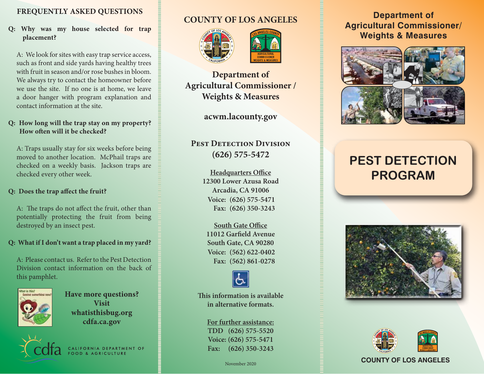## **FREQUENTLY ASKED QUESTIONS**

#### **Q: Why was my house selected for trap placement?**

A: We look for sites with easy trap service access, such as front and side yards having healthy trees with fruit in season and/or rose bushes in bloom. We always try to contact the homeowner before we use the site. If no one is at home, we leave a door hanger with program explanation and contact information at the site.

#### **Q: How long will the trap stay on my property? How often will it be checked?**

A: Traps usually stay for six weeks before being moved to another location. McPhail traps are checked on a weekly basis. Jackson traps are checked every other week.

#### **Q: Does the trap affect the fruit?**

A: The traps do not affect the fruit, other than potentially protecting the fruit from being destroyed by an insect pest.

#### **Q: What if I don't want a trap placed in my yard?**

A: Please contact us. Refer to the Pest Detection Division contact information on the back of this pamphlet.



**Have more questions? Visit whatisthisbug.org cdfa.ca.gov**



# **COUNTY OF LOS ANGELES**





**Department of Agricultural Commissioner / Weights & Measures**

**acwm.lacounty.gov**

# **PEST DETECTION DIVISION (626) 575-5472**

**Headquarters Office 12300 Lower Azusa Road Arcadia, CA 91006 (626) 575-5471 Voice: (626) 350-3243 Fax:**

**South Gate Office 11012 Garfield Avenue South Gate, CA 90280 (562) 622-0402 Voice: (562) 861-0278 Fax:**



**This information is available in alternative formats.**

## **For further assistance: TDD (626) 575-5520**

**Voice: (626) 575-5471 Fax: (626) 350-3243**

# **Department of Agricultural Commissioner/ Weights & Measures**



# **PEST DETECTION PROGRAM**





#### November 2020<br>
November 2020<br> **COUNTY OF LOS ANGELES**